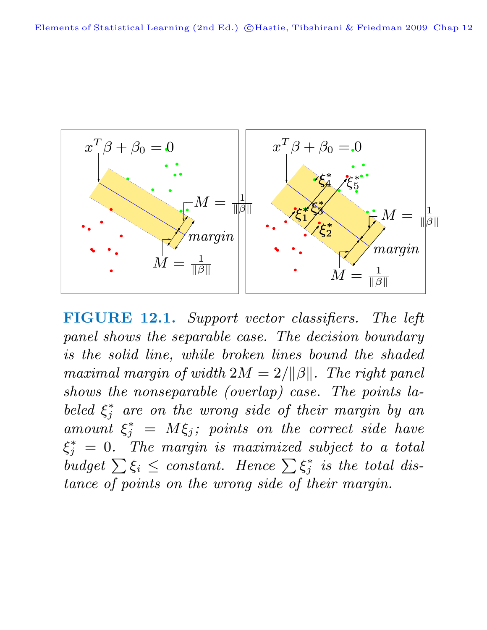

**FIGURE 12.1.** Support vector classifiers. The left panel shows the separable case. The decision boundary is the solid line, while broken lines bound the shaded maximal margin of width  $2M = 2/||\beta||$ . The right panel shows the nonseparable (overlap) case. The points labeled  $\xi_j^*$  are on the wrong side of their margin by an amount  $\xi_j^* = M \xi_j$ ; points on the correct side have  $\xi^*_j \ = \ 0. \quad The \ \ marginal \ \ is \ maximized \ \ subject \ \ to \ \ a \ \ total$  $\begin{aligned} \mathcal{S}_j & \text{if the margin is maximal subject to } \mathcal{Z} \text{ for all } j \text{ is the total distribution.} \end{aligned}$ tance of points on the wrong side of their margin.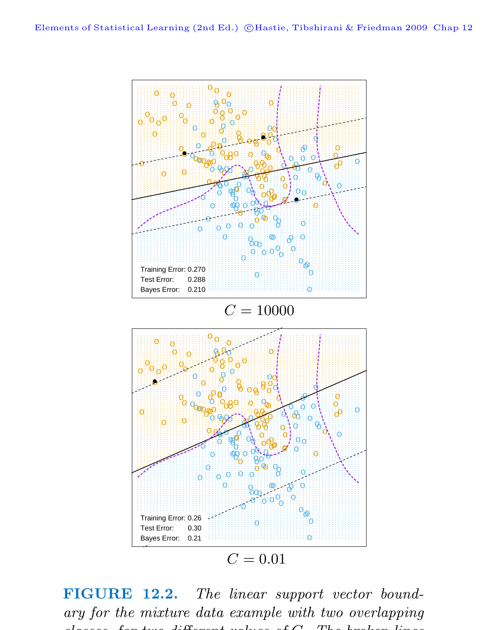

**FIGURE 12.2.** The linear support vector boundary for the mixture data example with two overlapping  $l_{\text{max}}$  for two different values of  $\alpha$  . The local on line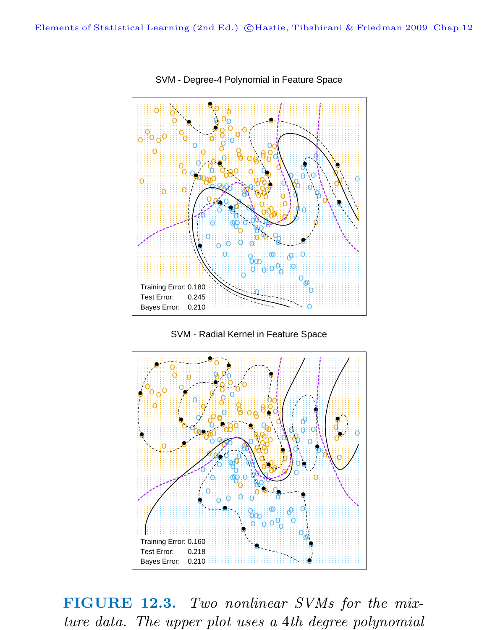

SVM - Degree-4 Polynomial in Feature Space

SVM - Radial Kernel in Feature Space



**FIGURE 12.3.** Two nonlinear SVMs for the mixture data. The upper plot uses a 4th degree polynomial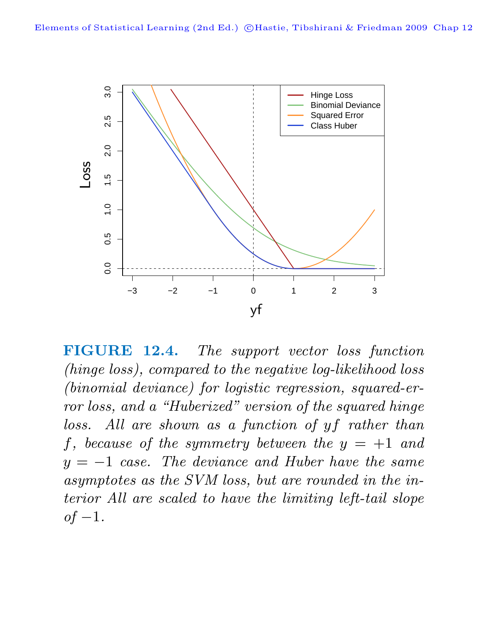

**FIGURE 12.4.** The support vector loss function (hinge loss), compared to the negative log-likelihood loss (binomial deviance) for logistic regression, squared-error loss, and a "Huberized" version of the squared hinge loss. All are shown as a function of yf rather than f, because of the symmetry between the  $y = +1$  and  $y = -1$  case. The deviance and Huber have the same asymptotes as the SVM loss, but are rounded in the interior All are scaled to have the limiting left-tail slope  $of-1$ .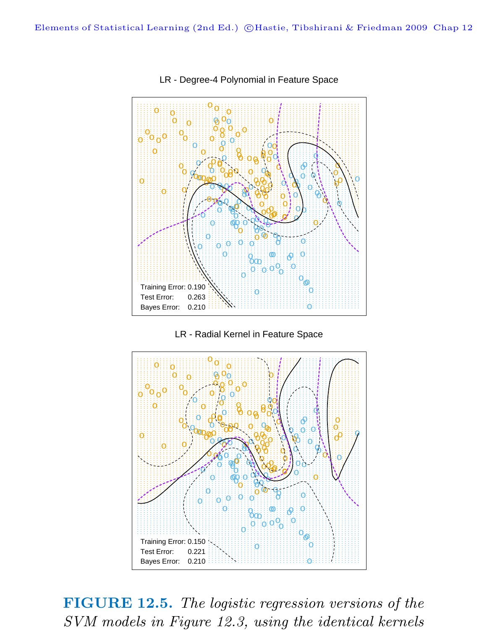

## LR - Degree-4 Polynomial in Feature Space





FIGURE 12.5. The logistic regression versions of the SVM models in Figure 12.3, using the identical kernels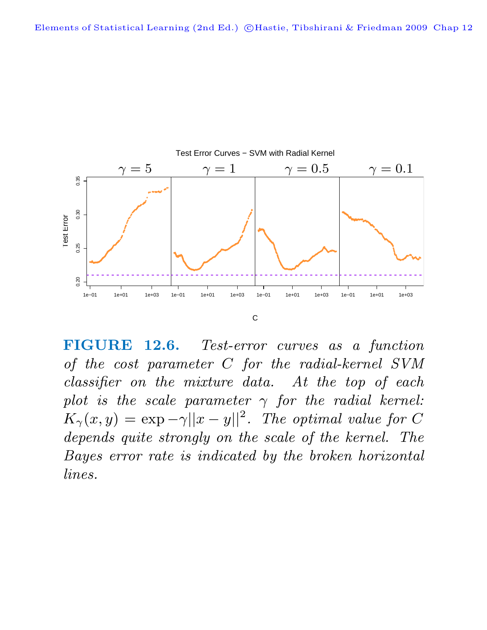

**FIGURE 12.6.** Test-error curves as a function of the cost parameter C for the radial-kernel SVM classifier on the mixture data. At the top of each plot is the scale parameter  $\gamma$  for the radial kernel:  $K_{\gamma}(x, y) = \exp(-\gamma ||x - y||^2)$ . The optimal value for C depends quite strongly on the scale of the kernel. The Bayes error rate is indicated by the broken horizontal lines.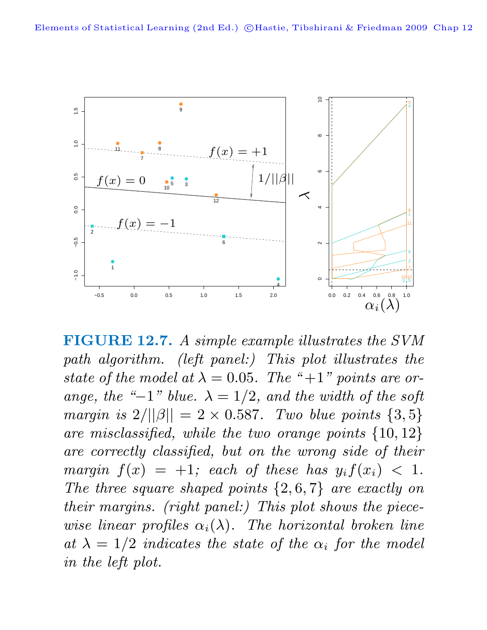

**FIGURE 12.7.** A simple example illustrates the SVM path algorithm. (left panel:) This plot illustrates the state of the model at  $\lambda = 0.05$ . The "+1" points are orange, the "−1" blue.  $\lambda = 1/2$ , and the width of the soft margin is  $2/||\beta|| = 2 \times 0.587$ . Two blue points  $\{3, 5\}$ are misclassified, while the two orange points {10, 12} are correctly classified, but on the wrong side of their margin  $f(x) = +1$ ; each of these has  $y_i f(x_i) < 1$ . The three square shaped points  $\{2, 6, 7\}$  are exactly on their margins. (right panel:) This plot shows the piecewise linear profiles  $\alpha_i(\lambda)$ . The horizontal broken line at  $\lambda = 1/2$  indicates the state of the  $\alpha_i$  for the model in the left plot.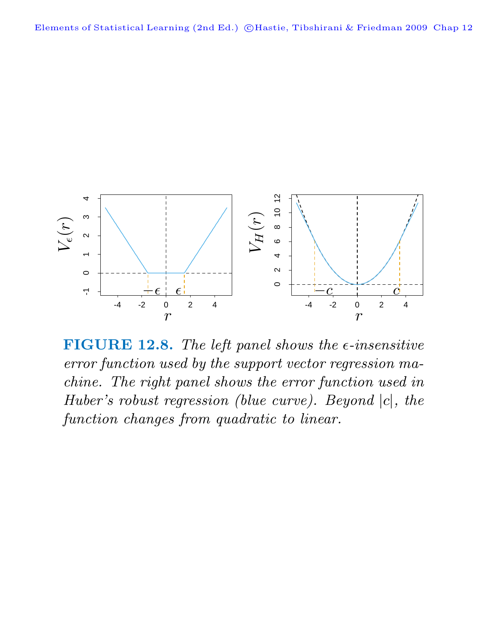

**FIGURE 12.8.** The left panel shows the  $\epsilon$ -insensitive error function used by the support vector regression machine. The right panel shows the error function used in Huber's robust regression (blue curve). Beyond |c|, the function changes from quadratic to linear.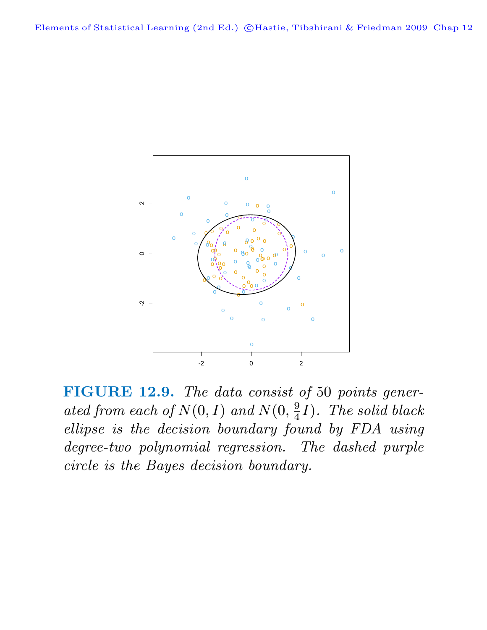

**FIGURE 12.9.** The data consist of 50 points generated from each of  $N(0, I)$  and  $N(0, \frac{9}{4}I)$ . The solid black ellipse is the decision boundary found by FDA using degree-two polynomial regression. The dashed purple circle is the Bayes decision boundary.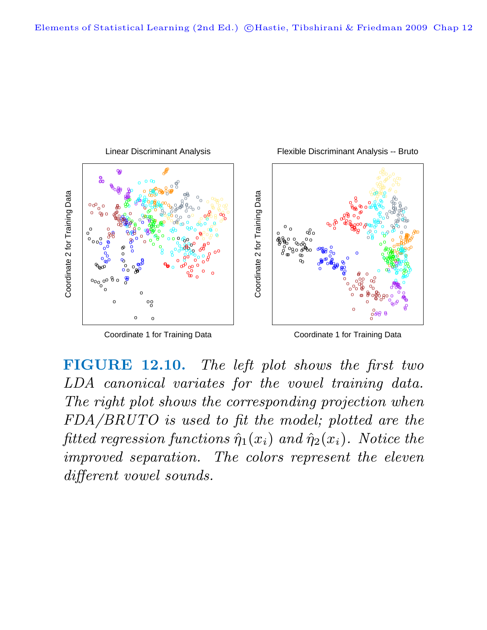

Coordinate 1 for Training Data

Coordinate 1 for Training Data

**FIGURE 12.10.** The left plot shows the first two LDA canonical variates for the vowel training data. The right plot shows the corresponding projection when FDA/BRUTO is used to fit the model; plotted are the fitted regression functions  $\hat{\eta}_1(x_i)$  and  $\hat{\eta}_2(x_i)$ . Notice the improved separation. The colors represent the eleven different vowel sounds.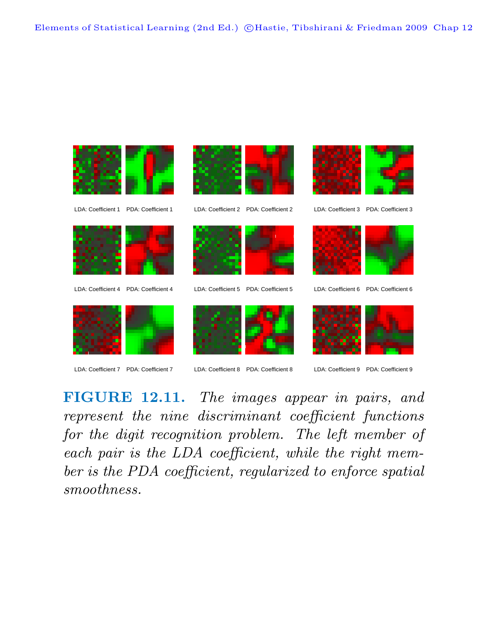

**FIGURE 12.11.** The images appear in pairs, and represent the nine discriminant coefficient functions for the digit recognition problem. The left member of each pair is the LDA coefficient, while the right member is the PDA coefficient, regularized to enforce spatial smoothness.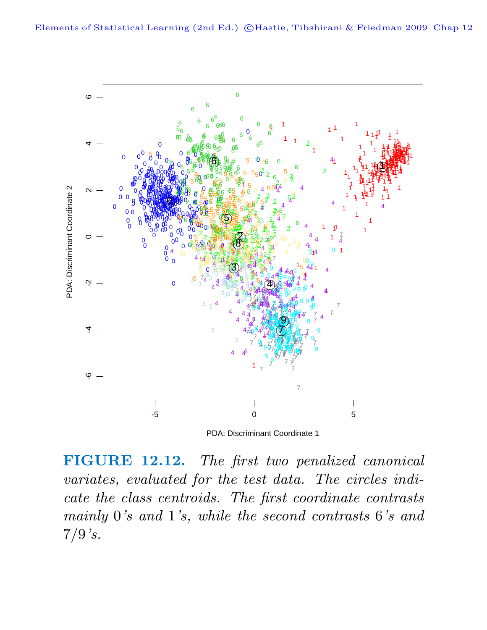

PDA: Discriminant Coordinate 1

**FIGURE 12.12.** The first two penalized canonical variates, evaluated for the test data. The circles indicate the class centroids. The first coordinate contrasts mainly 0's and 1's, while the second contrasts 6's and  $7/9$ 's.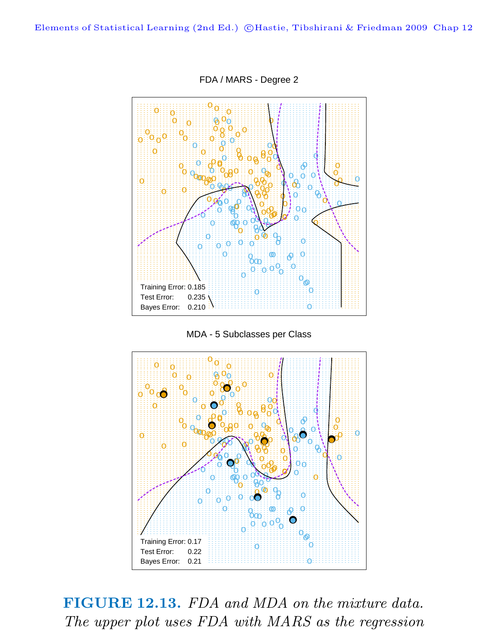Elements of Statistical Learning (2nd Ed.) ©Hastie, Tibshirani & Friedman 2009 Chap 12



FDA / MARS - Degree 2





FIGURE 12.13. FDA and MDA on the mixture data. The upper plot uses FDA with MARS as the regression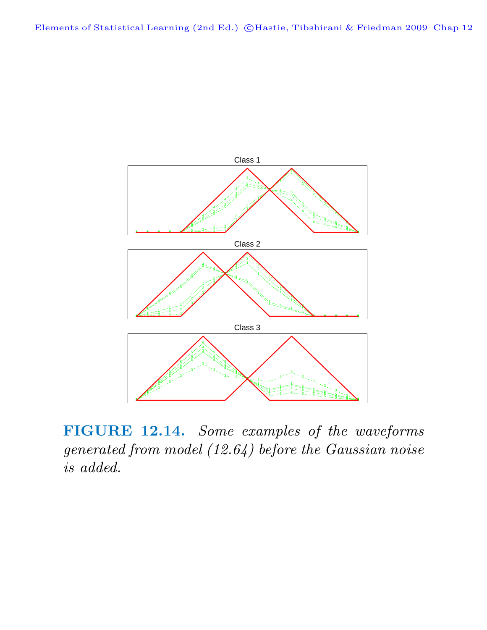

**FIGURE 12.14.** Some examples of the waveforms generated from model (12.64) before the Gaussian noise is added.